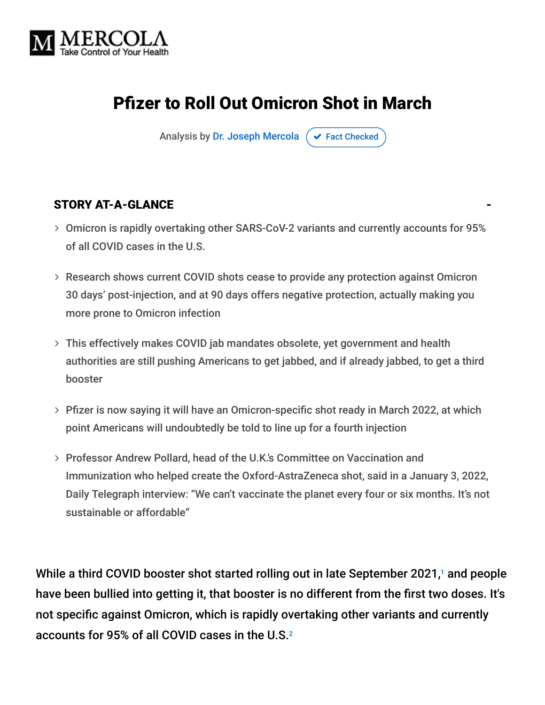

# Pfizer to Roll Out Omicron Shot in March

Analysis by [Dr. Joseph Mercola](https://www.mercola.com/forms/background.htm)  $\sigma$  [Fact Checked](javascript:void(0))

#### STORY AT-A-GLANCE

- Omicron is rapidly overtaking other SARS-CoV-2 variants and currently accounts for 95% of all COVID cases in the U.S.
- Research shows current COVID shots cease to provide any protection against Omicron 30 days' post-injection, and at 90 days offers negative protection, actually making you more prone to Omicron infection
- This effectively makes COVID jab mandates obsolete, yet government and health authorities are still pushing Americans to get jabbed, and if already jabbed, to get a third booster
- Pfizer is now saying it will have an Omicron-specific shot ready in March 2022, at which point Americans will undoubtedly be told to line up for a fourth injection
- Professor Andrew Pollard, head of the U.K.'s Committee on Vaccination and Immunization who helped create the Oxford-AstraZeneca shot, said in a January 3, 2022, Daily Telegraph interview: "We can't vaccinate the planet every four or six months. It's not sustainable or affordable"

While a third COVID booster shot started rolling out in late September 2021,1 and people have been bullied into getting it, that booster is no different from the first two doses. It's not specific against Omicron, which is rapidly overtaking other variants and currently accounts for 95% of all COVID cases in the U.S. 2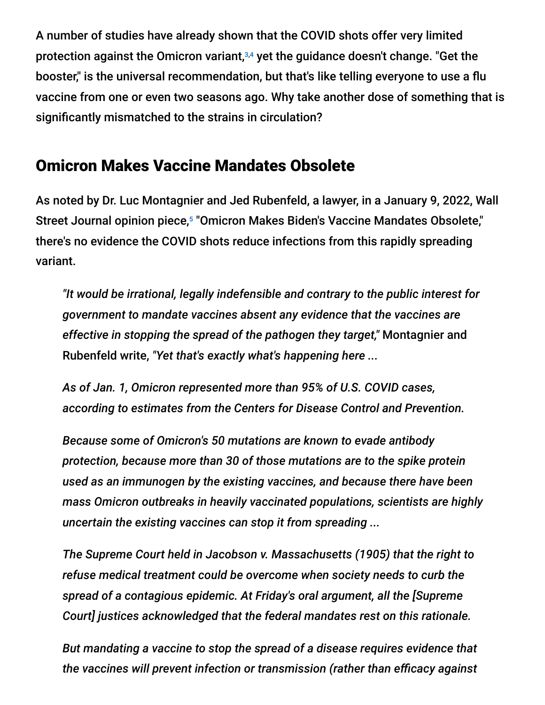A number of studies have already shown that the COVID shots offer very limited protection against the Omicron variant,<sup>3,4</sup> yet the guidance doesn't change. "Get the booster," is the universal recommendation, but that's like telling everyone to use a flu vaccine from one or even two seasons ago. Why take another dose of something that is significantly mismatched to the strains in circulation?

#### Omicron Makes Vaccine Mandates Obsolete

As noted by Dr. Luc Montagnier and Jed Rubenfeld, a lawyer, in a January 9, 2022, Wall Street Journal opinion piece,<sup>5</sup> "Omicron Makes Biden's Vaccine Mandates Obsolete," there's no evidence the COVID shots reduce infections from this rapidly spreading variant.

*"It would be irrational, legally indefensible and contrary to the public interest for government to mandate vaccines absent any evidence that the vaccines are effective in stopping the spread of the pathogen they target,"* Montagnier and Rubenfeld write, *"Yet that's exactly what's happening here ...*

*As of Jan. 1, Omicron represented more than 95% of U.S. COVID cases, according to estimates from the Centers for Disease Control and Prevention.*

*Because some of Omicron's 50 mutations are known to evade antibody protection, because more than 30 of those mutations are to the spike protein used as an immunogen by the existing vaccines, and because there have been mass Omicron outbreaks in heavily vaccinated populations, scientists are highly uncertain the existing vaccines can stop it from spreading ...*

*The Supreme Court held in Jacobson v. Massachusetts (1905) that the right to refuse medical treatment could be overcome when society needs to curb the spread of a contagious epidemic. At Friday's oral argument, all the [Supreme Court] justices acknowledged that the federal mandates rest on this rationale.*

*But mandating a vaccine to stop the spread of a disease requires evidence that the vaccines will prevent infection or transmission (rather than efficacy against*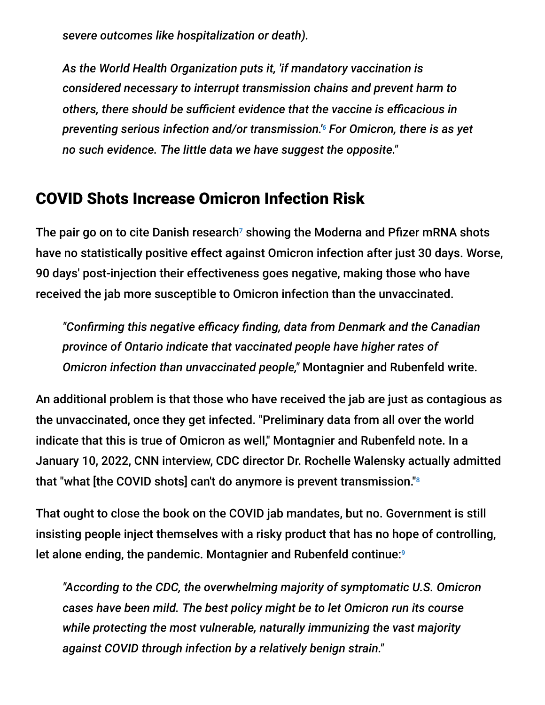*severe outcomes like hospitalization or death).*

*As the World Health Organization puts it, 'if mandatory vaccination is considered necessary to interrupt transmission chains and prevent harm to others, there should be sufficient evidence that the vaccine is efficacious in* preventing serious infection and/or transmission.'<sup>6</sup> For Omicron, there is as yet *no such evidence. The little data we have suggest the opposite."*

#### COVID Shots Increase Omicron Infection Risk

The pair go on to cite Danish research<sup>7</sup> showing the Moderna and Pfizer mRNA shots have no statistically positive effect against Omicron infection after just 30 days. Worse, 90 days' post-injection their effectiveness goes negative, making those who have received the jab more susceptible to Omicron infection than the unvaccinated.

*"Confirming this negative efficacy finding, data from Denmark and the Canadian province of Ontario indicate that vaccinated people have higher rates of Omicron infection than unvaccinated people,"* Montagnier and Rubenfeld write.

An additional problem is that those who have received the jab are just as contagious as the unvaccinated, once they get infected. "Preliminary data from all over the world indicate that this is true of Omicron as well," Montagnier and Rubenfeld note. In a January 10, 2022, CNN interview, CDC director Dr. Rochelle Walensky actually admitted that "what [the COVID shots] can't do anymore is prevent transmission." 8

That ought to close the book on the COVID jab mandates, but no. Government is still insisting people inject themselves with a risky product that has no hope of controlling, let alone ending, the pandemic. Montagnier and Rubenfeld continue:<sup>9</sup>

*"According to the CDC, the overwhelming majority of symptomatic U.S. Omicron cases have been mild. The best policy might be to let Omicron run its course while protecting the most vulnerable, naturally immunizing the vast majority against COVID through infection by a relatively benign strain."*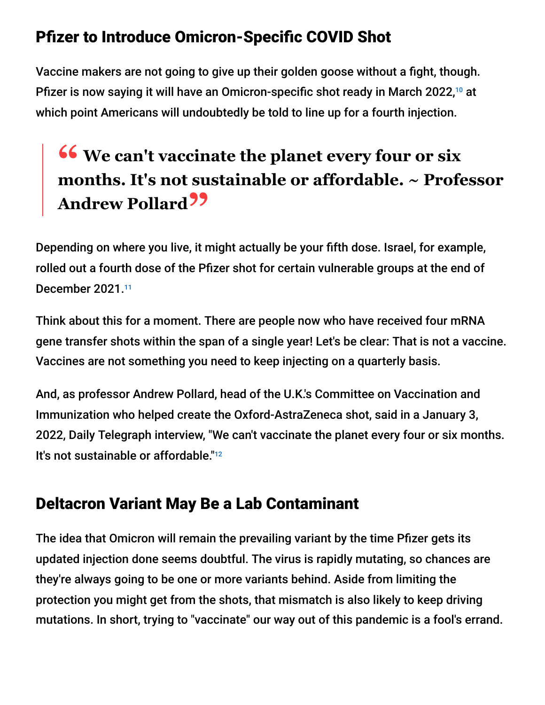## Pfizer to Introduce Omicron-Specific COVID Shot

Vaccine makers are not going to give up their golden goose without a fight, though. Pfizer is now saying it will have an Omicron-specific shot ready in March 2022,<sup>10</sup> at which point Americans will undoubtedly be told to line up for a fourth injection.

# **<sup>66</sup>** We can't vaccinate the planet every four or six<br>months It's not sustainable or affordable  $\sim$  Profe **months. It's not sustainable or affordable. ~ Professor Andrew Pollard"**

Depending on where you live, it might actually be your fifth dose. Israel, for example, rolled out a fourth dose of the Pfizer shot for certain vulnerable groups at the end of December 2021. 11

Think about this for a moment. There are people now who have received four mRNA gene transfer shots within the span of a single year! Let's be clear: That is not a vaccine. Vaccines are not something you need to keep injecting on a quarterly basis.

And, as professor Andrew Pollard, head of the U.K.'s Committee on Vaccination and Immunization who helped create the Oxford-AstraZeneca shot, said in a January 3, 2022, Daily Telegraph interview, "We can't vaccinate the planet every four or six months. It's not sustainable or affordable."<sup>12</sup>

### Deltacron Variant May Be a Lab Contaminant

The idea that Omicron will remain the prevailing variant by the time Pfizer gets its updated injection done seems doubtful. The virus is rapidly mutating, so chances are they're always going to be one or more variants behind. Aside from limiting the protection you might get from the shots, that mismatch is also likely to keep driving mutations. In short, trying to "vaccinate" our way out of this pandemic is a fool's errand.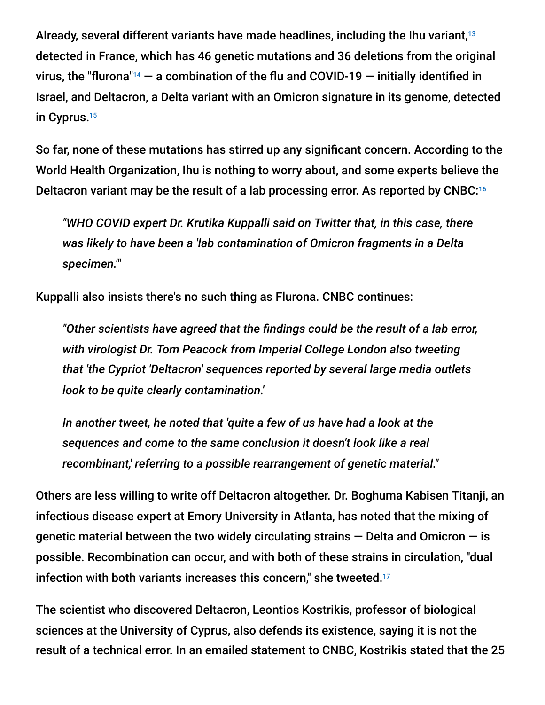Already, several different variants have made headlines, including the Ihu variant, 13 detected in France, which has 46 genetic mutations and 36 deletions from the original virus, the "flurona"<sup>14</sup>  $-$  a combination of the flu and COVID-19  $-$  initially identified in Israel, and Deltacron, a Delta variant with an Omicron signature in its genome, detected in Cyprus. 15

So far, none of these mutations has stirred up any significant concern. According to the World Health Organization, Ihu is nothing to worry about, and some experts believe the Deltacron variant may be the result of a lab processing error. As reported by CNBC: 16

*"WHO COVID expert Dr. Krutika Kuppalli said on Twitter that, in this case, there was likely to have been a 'lab contamination of Omicron fragments in a Delta specimen.'"*

Kuppalli also insists there's no such thing as Flurona. CNBC continues:

*"Other scientists have agreed that the findings could be the result of a lab error, with virologist Dr. Tom Peacock from Imperial College London also tweeting that 'the Cypriot 'Deltacron' sequences reported by several large media outlets look to be quite clearly contamination.'*

*In another tweet, he noted that 'quite a few of us have had a look at the sequences and come to the same conclusion it doesn't look like a real recombinant,' referring to a possible rearrangement of genetic material."*

Others are less willing to write off Deltacron altogether. Dr. Boghuma Kabisen Titanji, an infectious disease expert at Emory University in Atlanta, has noted that the mixing of genetic material between the two widely circulating strains  $-$  Delta and Omicron  $-$  is possible. Recombination can occur, and with both of these strains in circulation, "dual infection with both variants increases this concern," she tweeted.<sup>17</sup>

The scientist who discovered Deltacron, Leontios Kostrikis, professor of biological sciences at the University of Cyprus, also defends its existence, saying it is not the result of a technical error. In an emailed statement to CNBC, Kostrikis stated that the 25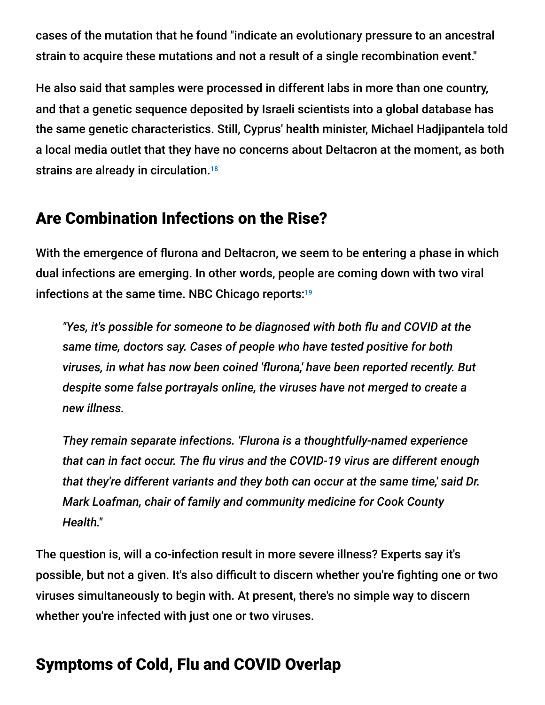cases of the mutation that he found "indicate an evolutionary pressure to an ancestral strain to acquire these mutations and not a result of a single recombination event."

He also said that samples were processed in different labs in more than one country, and that a genetic sequence deposited by Israeli scientists into a global database has the same genetic characteristics. Still, Cyprus' health minister, Michael Hadjipantela told a local media outlet that they have no concerns about Deltacron at the moment, as both strains are already in circulation.<sup>18</sup>

#### Are Combination Infections on the Rise?

With the emergence of flurona and Deltacron, we seem to be entering a phase in which dual infections are emerging. In other words, people are coming down with two viral infections at the same time. NBC Chicago reports: 19

*"Yes, it's possible for someone to be diagnosed with both flu and COVID at the same time, doctors say. Cases of people who have tested positive for both viruses, in what has now been coined 'flurona,' have been reported recently. But despite some false portrayals online, the viruses have not merged to create a new illness.*

*They remain separate infections. 'Flurona is a thoughtfully-named experience that can in fact occur. The flu virus and the COVID-19 virus are different enough that they're different variants and they both can occur at the same time,' said Dr. Mark Loafman, chair of family and community medicine for Cook County Health."*

The question is, will a co-infection result in more severe illness? Experts say it's possible, but not a given. It's also difficult to discern whether you're fighting one or two viruses simultaneously to begin with. At present, there's no simple way to discern whether you're infected with just one or two viruses.

# Symptoms of Cold, Flu and COVID Overlap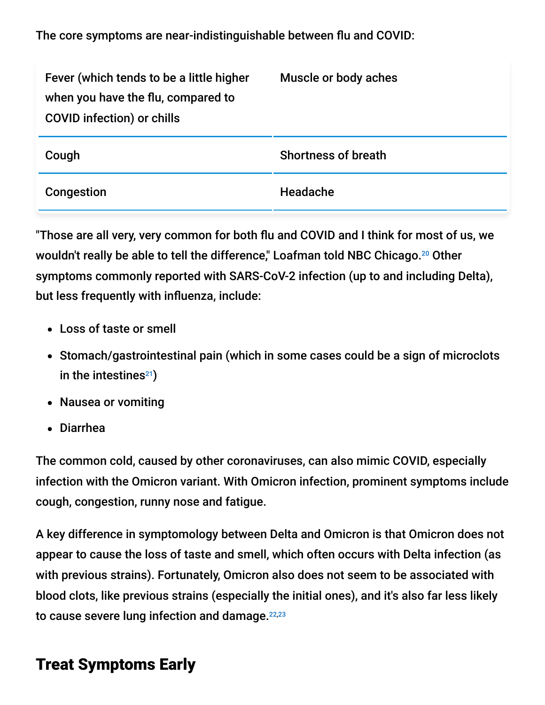The core symptoms are near-indistinguishable between flu and COVID:

| Fever (which tends to be a little higher<br>when you have the flu, compared to<br><b>COVID infection) or chills</b> | Muscle or body aches       |
|---------------------------------------------------------------------------------------------------------------------|----------------------------|
| Cough                                                                                                               | <b>Shortness of breath</b> |
| Congestion                                                                                                          | <b>Headache</b>            |

"Those are all very, very common for both flu and COVID and I think for most of us, we wouldn't really be able to tell the difference," Loafman told NBC Chicago.<sup>20</sup> Other symptoms commonly reported with SARS-CoV-2 infection (up to and including Delta), but less frequently with influenza, include:

- Loss of taste or smell
- Stomach/gastrointestinal pain (which in some cases could be a sign of microclots in the intestines $^{21}$ )
- Nausea or vomiting
- Diarrhea

The common cold, caused by other coronaviruses, can also mimic COVID, especially infection with the Omicron variant. With Omicron infection, prominent symptoms include cough, congestion, runny nose and fatigue.

A key difference in symptomology between Delta and Omicron is that Omicron does not appear to cause the loss of taste and smell, which often occurs with Delta infection (as with previous strains). Fortunately, Omicron also does not seem to be associated with blood clots, like previous strains (especially the initial ones), and it's also far less likely to cause severe lung infection and damage.<sup>22,23</sup>

### Treat Symptoms Early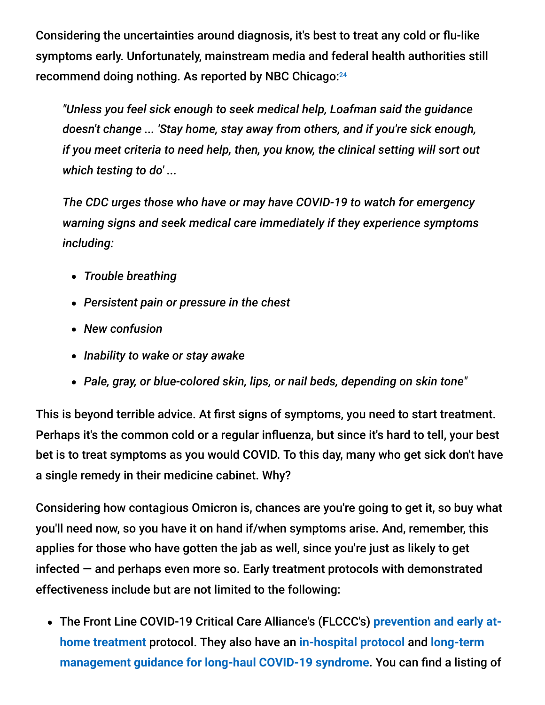Considering the uncertainties around diagnosis, it's best to treat any cold or flu-like symptoms early. Unfortunately, mainstream media and federal health authorities still recommend doing nothing. As reported by NBC Chicago: 24

*"Unless you feel sick enough to seek medical help, Loafman said the guidance doesn't change ... 'Stay home, stay away from others, and if you're sick enough, if you meet criteria to need help, then, you know, the clinical setting will sort out which testing to do' ...*

*The CDC urges those who have or may have COVID-19 to watch for emergency warning signs and seek medical care immediately if they experience symptoms including:*

- *Trouble breathing*
- *Persistent pain or pressure in the chest*
- *New confusion*
- *Inability to wake or stay awake*
- *Pale, gray, or blue-colored skin, lips, or nail beds, depending on skin tone"*

This is beyond terrible advice. At first signs of symptoms, you need to start treatment. Perhaps it's the common cold or a regular influenza, but since it's hard to tell, your best bet is to treat symptoms as you would COVID. To this day, many who get sick don't have a single remedy in their medicine cabinet. Why?

Considering how contagious Omicron is, chances are you're going to get it, so buy what you'll need now, so you have it on hand if/when symptoms arise. And, remember, this applies for those who have gotten the jab as well, since you're just as likely to get infected — and perhaps even more so. Early treatment protocols with demonstrated effectiveness include but are not limited to the following:

[The Front Line COVID-19 Critical Care Alliance's \(FLCCC's\)](https://covid19criticalcare.com/covid-19-protocols/i-mask-plus-protocol/) **prevention and early athome treatment** protocol. They also have an **[in-hospital protocol](https://covid19criticalcare.com/covid-19-protocols/math-plus-protocol/)** and **long-term [management guidance for long-haul COVID-19 syndrome](https://covid19criticalcare.com/covid-19-protocols/i-recover-protocol/)**. You can find a listing of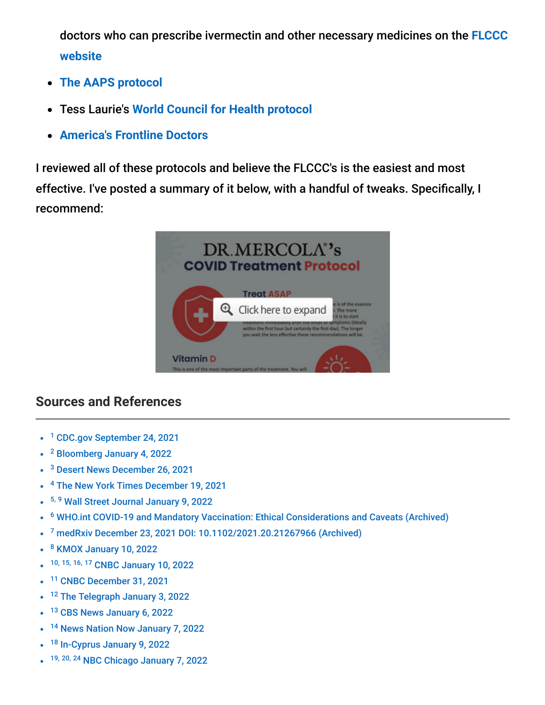[doctors who can prescribe ivermectin and other necessary medicines on the](https://covid19criticalcare.com/ivermectin-in-covid-19/how-to-get-ivermectin/) **FLCCC website**

- **[The AAPS protocol](https://aapsonline.org/CovidPatientTreatmentGuide.pdf)**
- Tess Laurie's **[World Council for Health protocol](https://worldcouncilforhealth.org/wp-content/uploads/2021/09/WCH-At-Home-Treatment-Guide_30-Sept-2021.pdf)**
- **[America's Frontline Doctors](https://americasfrontlinedoctors.org/covid/treatment-options/)**

I reviewed all of these protocols and believe the FLCCC's is the easiest and most effective. I've posted a summary of it below, with a handful of tweaks. Specifically, I recommend:



#### **Sources and References**

- <sup>1</sup> [CDC.gov September 24, 2021](https://www.cdc.gov/media/releases/2021/p0924-booster-recommendations-.html)
- <sup>2</sup> [Bloomberg January 4, 2022](https://www.bloomberg.com/news/articles/2022-01-04/omicron-now-accounts-for-95-of-u-s-covid-19-cases-cdc-says)
- <sup>3</sup> [Desert News December 26, 2021](https://www.deseret.com/coronavirus/2021/12/26/22848390/covid-vaccine-booster-shots-omicron-variant)
- <sup>4</sup> [The New York Times December 19, 2021](https://www.nytimes.com/2021/12/19/health/omicron-vaccines-efficacy.html)
- <sup>5, 9</sup> [Wall Street Journal January 9, 2022](https://www.wsj.com/articles/omicron-makes-bidens-vaccine-mandates-obsolete-covid-healthcare-osha-evidence-supreme-court-11641760009)
- <sup>6</sup> [WHO.int COVID-19 and Mandatory Vaccination: Ethical Considerations and Caveats \(Archived\)](https://archive.is/eVd2p)
- <sup>7</sup> [medRxiv December 23, 2021 DOI: 10.1102/2021.20.21267966 \(Archived\)](https://archive.is/PylxF)
- <sup>8</sup> [KMOX January 10, 2022](https://www.audacy.com/kmox/news/national/cdc-director-says-vaccines-are-not-preventing-transmission)
- 10, 15, 16, 17 [CNBC January 10, 2022](https://www.cnbc.com/2022/01/10/covid-vaccine-pfizer-ceo-says-omicron-vaccine-will-be-ready-in-march.html)  $\bullet$
- <sup>11</sup> [CNBC December 31, 2021](https://www.cnbc.com/2021/12/31/israel-approves-4th-vaccine-dose-for-most-vulnerable.html)  $\bullet$
- <sup>12</sup> [The Telegraph January 3, 2022](https://www.telegraph.co.uk/news/2022/01/03/fourth-covid-jab-cant-vaccinate-planet-every-six-months-says/)  $\bullet$
- <sup>13</sup> [CBS News January 6, 2022](https://www.cbsnews.com/news/covid-ihu-variant-france-world-health-organization/)  $\bullet$
- <sup>14</sup> [News Nation Now January 7, 2022](https://www.newsnationnow.com/health/coronavirus/here-are-the-symptoms-of-flurona-and-how-to-tell-if-you-have-it/)
- $\bullet$ <sup>18</sup> [In-Cyprus January 9, 2022](https://in-cyprus.philenews.com/minister-of-health-says-new-deltacron-variant-found-in-cyprus-not-something-to-worry-about/)
- 19, 20, 24 [NBC Chicago January 7, 2022](https://www.nbcchicago.com/news/coronavirus/what-is-flurona-and-what-are-the-symptoms-chicago-area-doctor-on-what-to-know/2723705/)